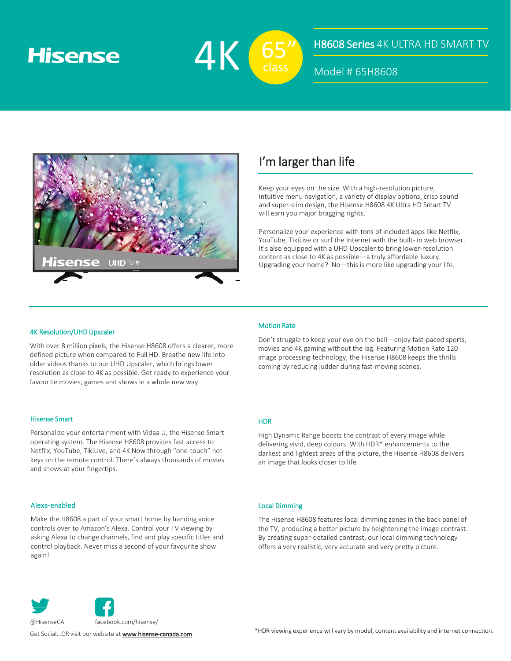# **Hisense**



### H8608 Series 4K ULTRA HD SMART TV

Model # 65H8608



# I'm larger than life

Keep your eyes on the size. With a high-resolution picture, intuitive menu navigation, a variety of display options, crisp sound and super-slim design, the Hisense H8608 4K Ultra HD Smart TV will earn you major bragging rights.

Personalize your experience with tons of included apps like Netflix, YouTube, TikiLive or surf the Internet with the built- in web browser. It's also equipped with a UHD Upscaler to bring lower-resolution content as close to 4K as possible—a truly affordable luxury. Upgrading your home? No—this is more like upgrading your life.

#### 4K Resolution/UHD Upscaler

With over 8 million pixels, the Hisense H8608 offers a clearer, more defined picture when compared to Full HD. Breathe new life into older videos thanks to our UHD Upscaler, which brings lower resolution as close to 4K as possible. Get ready to experience your favourite movies, games and shows in a whole new way.

#### Hisense Smart

Personalize your entertainment with Vidaa U, the Hisense Smart operating system. The Hisense H8608 provides fast access to Netflix, YouTube, TikiLive, and 4K Now through "one-touch" hot keys on the remote control. There's always thousands of movies and shows at your fingertips.

#### Alexa-enabled

Make the H8608 a part of your smart home by handing voice controls over to Amazon's Alexa. Control your TV viewing by asking Alexa to change channels, find and play specific titles and control playback. Never miss a second of your favourite show again!



Don't struggle to keep your eye on the ball—enjoy fast-paced sports, movies and 4K gaming without the lag. Featuring Motion Rate 120 image processing technology, the Hisense H8608 keeps the thrills coming by reducing judder during fast-moving scenes.

#### **HDR**

High Dynamic Range boosts the contrast of every image while delivering vivid, deep colours. With HDR\* enhancements to the darkest and lightest areas of the picture, the Hisense H8608 delivers an image that looks closer to life.

#### Local Dimming

The Hisense H8608 features local dimming zones in the back panel of the TV, producing a better picture by heightening the image contrast. By creating super-detailed contrast, our local dimming technology offers a very realistic, very accurate and very pretty picture.



Get Social... OR visit our website at **[www.hisense-canada.com](http://www.hisensecanada.com/)**